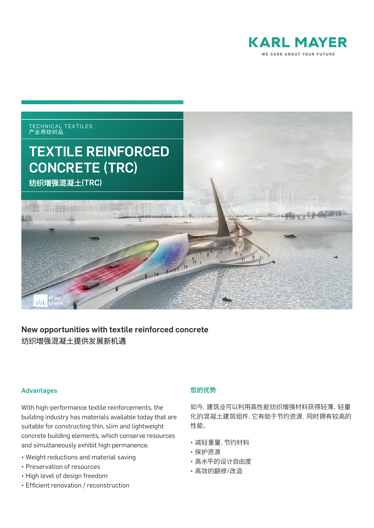



## New opportunities with textile reinforced concrete 纺织增强混凝土提供发展新机遇

## Advantages

With high-performance textile reinforcements, the building industry has materials available today that are suitable for constructing thin, slim and lightweight concrete building elements, which conserve resources and simultaneously exhibit high permanence.

- Weight reductions and material saving
- Preservation of resources
- High level of design freedom
- Efficient renovation / reconstruction

## 您的优势

如今,建筑业可以利用高性能纺织增强材料获得轻薄、轻量 化的混凝土建筑组件,它有助于节约资源,同时拥有较高的 性能。

- 减轻重量,节约材料
- 保护资源
- 高水平的设计自由度
- 高效的翻修/改造